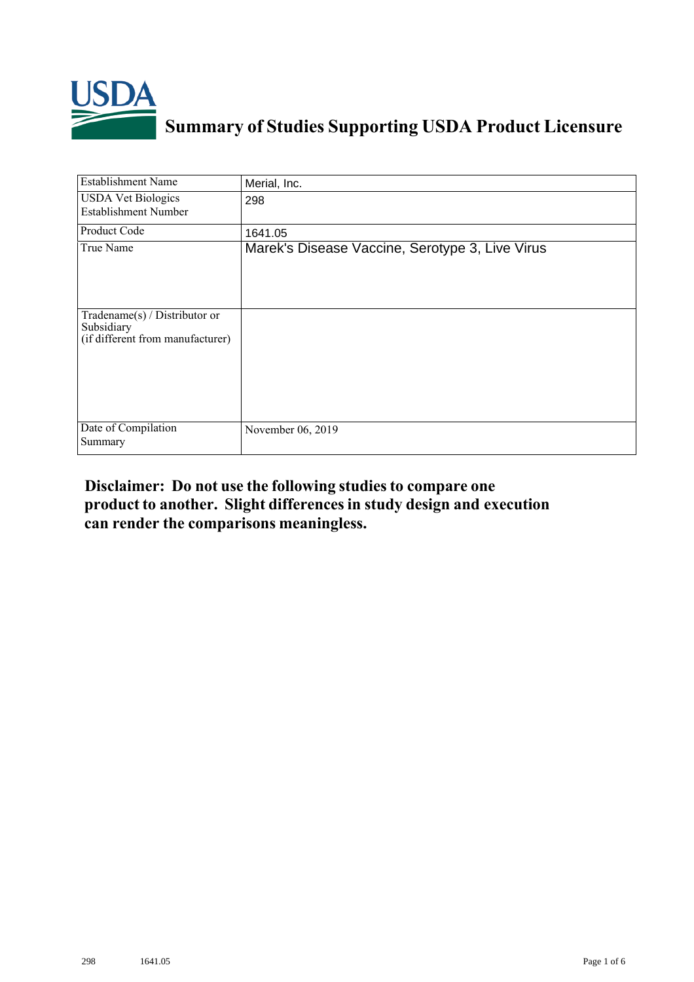

## **Summary of Studies Supporting USDA Product Licensure**

| <b>Establishment Name</b>                                                       | Merial, Inc.                                    |
|---------------------------------------------------------------------------------|-------------------------------------------------|
| <b>USDA Vet Biologics</b><br><b>Establishment Number</b>                        | 298                                             |
| Product Code                                                                    | 1641.05                                         |
| True Name                                                                       | Marek's Disease Vaccine, Serotype 3, Live Virus |
| Tradename(s) / Distributor or<br>Subsidiary<br>(if different from manufacturer) |                                                 |
| Date of Compilation<br>Summary                                                  | November 06, 2019                               |

## **Disclaimer: Do not use the following studiesto compare one product to another. Slight differencesin study design and execution can render the comparisons meaningless.**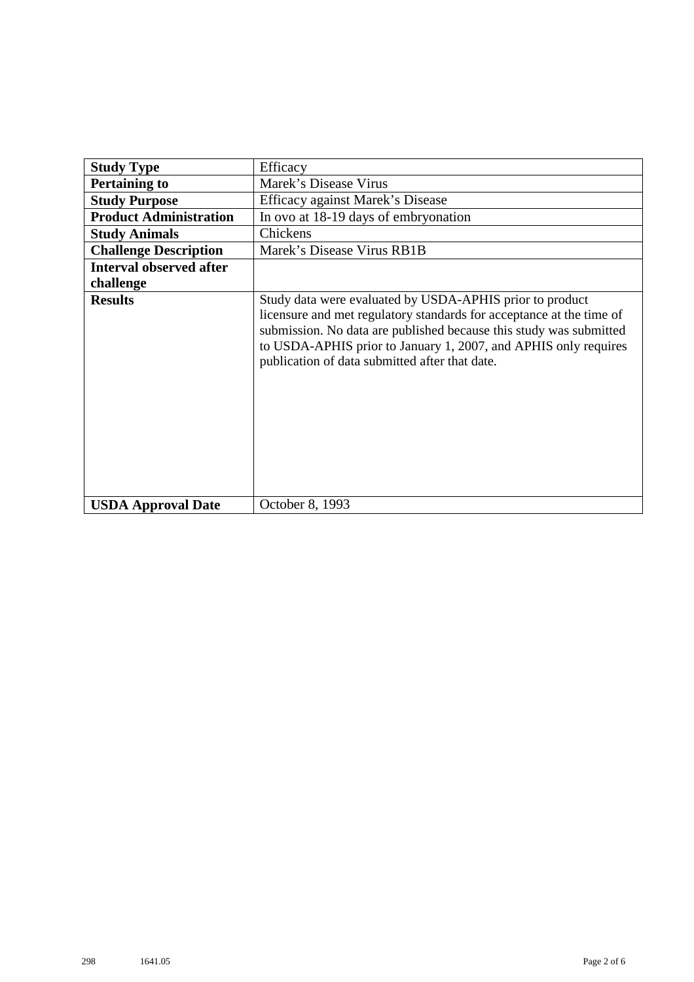| <b>Study Type</b>              | Efficacy                                                                                                                                                                                                                                                                                                                    |
|--------------------------------|-----------------------------------------------------------------------------------------------------------------------------------------------------------------------------------------------------------------------------------------------------------------------------------------------------------------------------|
| <b>Pertaining to</b>           | Marek's Disease Virus                                                                                                                                                                                                                                                                                                       |
| <b>Study Purpose</b>           | Efficacy against Marek's Disease                                                                                                                                                                                                                                                                                            |
| <b>Product Administration</b>  | In ovo at 18-19 days of embryonation                                                                                                                                                                                                                                                                                        |
| <b>Study Animals</b>           | Chickens                                                                                                                                                                                                                                                                                                                    |
| <b>Challenge Description</b>   | Marek's Disease Virus RB1B                                                                                                                                                                                                                                                                                                  |
| <b>Interval observed after</b> |                                                                                                                                                                                                                                                                                                                             |
| challenge                      |                                                                                                                                                                                                                                                                                                                             |
| <b>Results</b>                 | Study data were evaluated by USDA-APHIS prior to product<br>licensure and met regulatory standards for acceptance at the time of<br>submission. No data are published because this study was submitted<br>to USDA-APHIS prior to January 1, 2007, and APHIS only requires<br>publication of data submitted after that date. |
| <b>USDA Approval Date</b>      | October 8, 1993                                                                                                                                                                                                                                                                                                             |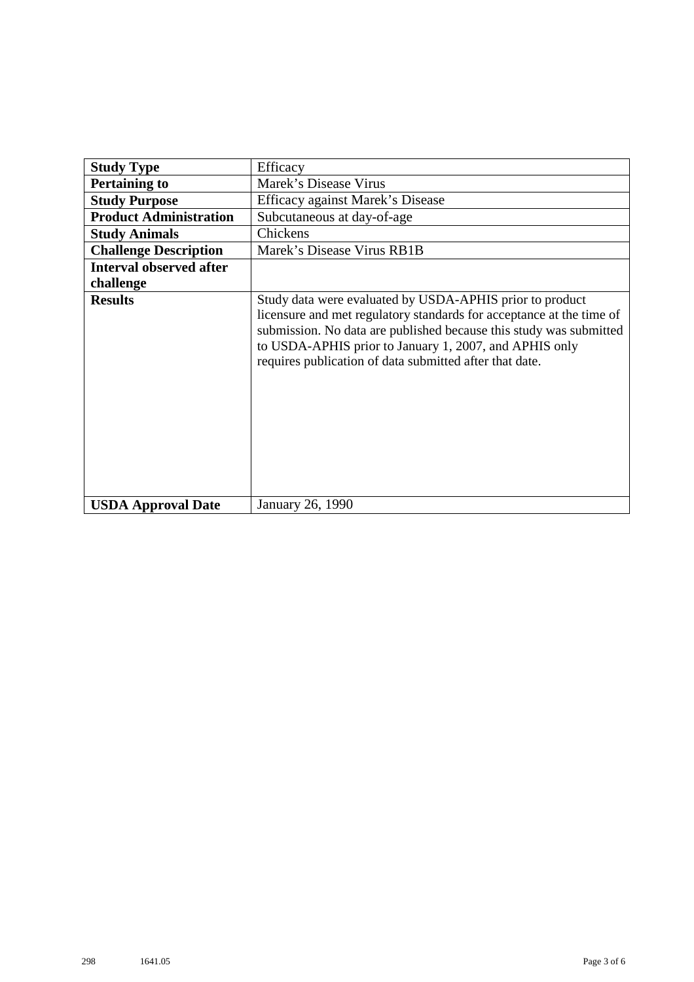| <b>Study Type</b>              | Efficacy                                                                                                                                                                                                                                                                                                                    |
|--------------------------------|-----------------------------------------------------------------------------------------------------------------------------------------------------------------------------------------------------------------------------------------------------------------------------------------------------------------------------|
| <b>Pertaining to</b>           | Marek's Disease Virus                                                                                                                                                                                                                                                                                                       |
| <b>Study Purpose</b>           | Efficacy against Marek's Disease                                                                                                                                                                                                                                                                                            |
| <b>Product Administration</b>  | Subcutaneous at day-of-age                                                                                                                                                                                                                                                                                                  |
| <b>Study Animals</b>           | Chickens                                                                                                                                                                                                                                                                                                                    |
| <b>Challenge Description</b>   | Marek's Disease Virus RB1B                                                                                                                                                                                                                                                                                                  |
| <b>Interval observed after</b> |                                                                                                                                                                                                                                                                                                                             |
| challenge                      |                                                                                                                                                                                                                                                                                                                             |
| <b>Results</b>                 | Study data were evaluated by USDA-APHIS prior to product<br>licensure and met regulatory standards for acceptance at the time of<br>submission. No data are published because this study was submitted<br>to USDA-APHIS prior to January 1, 2007, and APHIS only<br>requires publication of data submitted after that date. |
| <b>USDA Approval Date</b>      | January 26, 1990                                                                                                                                                                                                                                                                                                            |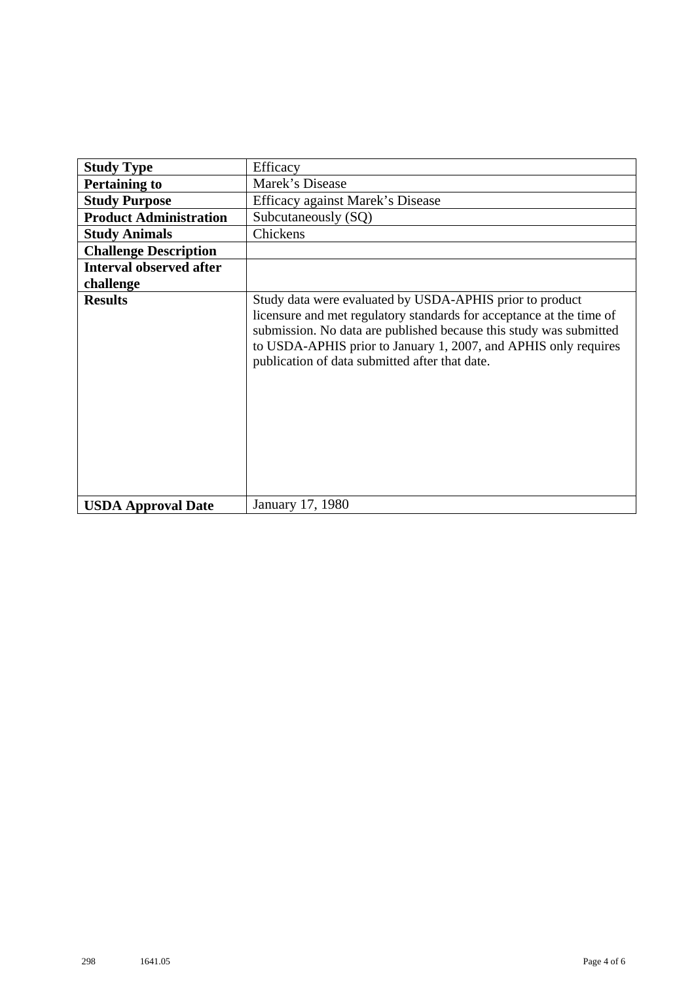| <b>Study Type</b>              | Efficacy                                                                                                                                                                                                                                                                                                                    |
|--------------------------------|-----------------------------------------------------------------------------------------------------------------------------------------------------------------------------------------------------------------------------------------------------------------------------------------------------------------------------|
| <b>Pertaining to</b>           | Marek's Disease                                                                                                                                                                                                                                                                                                             |
| <b>Study Purpose</b>           | Efficacy against Marek's Disease                                                                                                                                                                                                                                                                                            |
| <b>Product Administration</b>  | Subcutaneously (SQ)                                                                                                                                                                                                                                                                                                         |
| <b>Study Animals</b>           | Chickens                                                                                                                                                                                                                                                                                                                    |
| <b>Challenge Description</b>   |                                                                                                                                                                                                                                                                                                                             |
| <b>Interval observed after</b> |                                                                                                                                                                                                                                                                                                                             |
| challenge                      |                                                                                                                                                                                                                                                                                                                             |
| <b>Results</b>                 | Study data were evaluated by USDA-APHIS prior to product<br>licensure and met regulatory standards for acceptance at the time of<br>submission. No data are published because this study was submitted<br>to USDA-APHIS prior to January 1, 2007, and APHIS only requires<br>publication of data submitted after that date. |
| <b>USDA Approval Date</b>      | January 17, 1980                                                                                                                                                                                                                                                                                                            |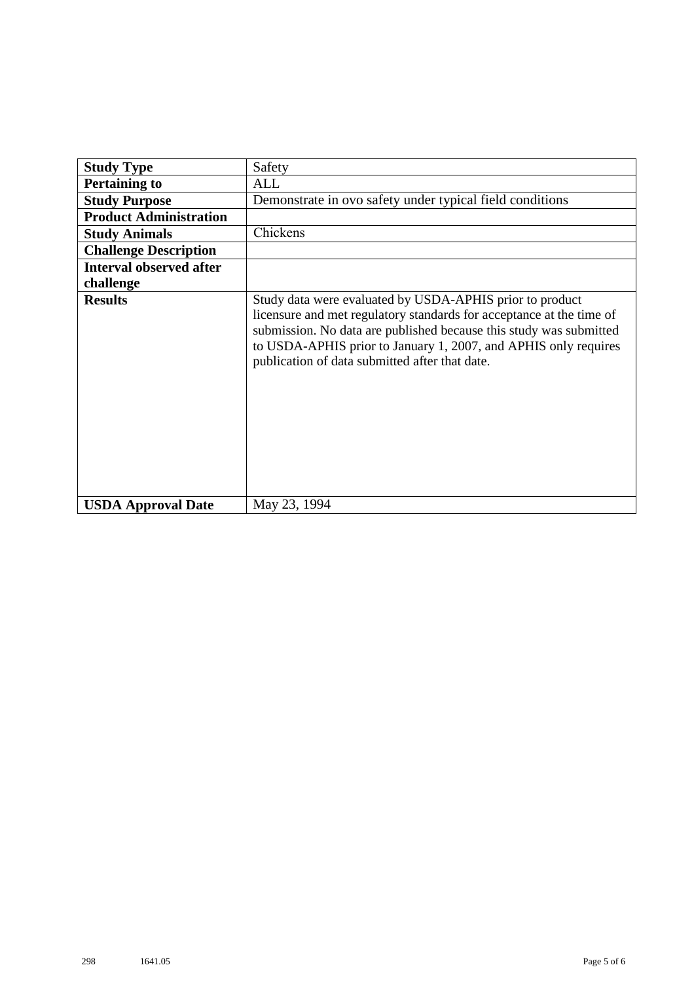| <b>Study Type</b>              | Safety                                                                                                                                                                                                                                                                                                                      |
|--------------------------------|-----------------------------------------------------------------------------------------------------------------------------------------------------------------------------------------------------------------------------------------------------------------------------------------------------------------------------|
| <b>Pertaining to</b>           | ALL                                                                                                                                                                                                                                                                                                                         |
| <b>Study Purpose</b>           | Demonstrate in ovo safety under typical field conditions                                                                                                                                                                                                                                                                    |
| <b>Product Administration</b>  |                                                                                                                                                                                                                                                                                                                             |
| <b>Study Animals</b>           | Chickens                                                                                                                                                                                                                                                                                                                    |
| <b>Challenge Description</b>   |                                                                                                                                                                                                                                                                                                                             |
| <b>Interval observed after</b> |                                                                                                                                                                                                                                                                                                                             |
| challenge                      |                                                                                                                                                                                                                                                                                                                             |
| <b>Results</b>                 | Study data were evaluated by USDA-APHIS prior to product<br>licensure and met regulatory standards for acceptance at the time of<br>submission. No data are published because this study was submitted<br>to USDA-APHIS prior to January 1, 2007, and APHIS only requires<br>publication of data submitted after that date. |
| <b>USDA Approval Date</b>      | May 23, 1994                                                                                                                                                                                                                                                                                                                |